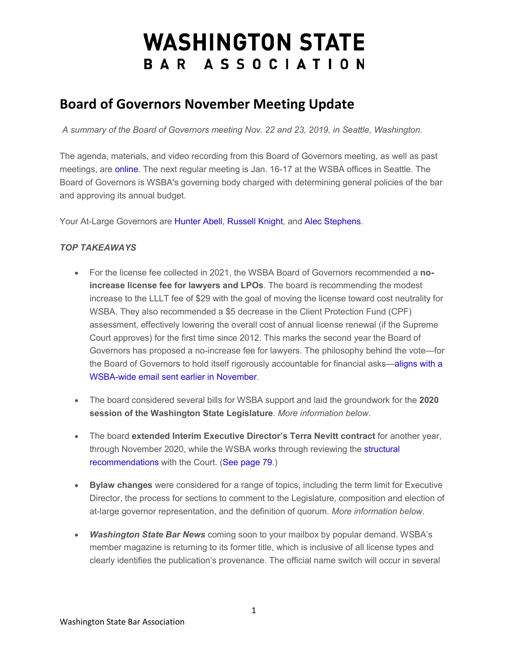## **WASHINGTON STATE** BAR ASSOCIATION

## **Board of Governors November Meeting Update**

*A summary of the Board of Governors meeting Nov. 22 and 23, 2019, in Seattle, Washington.* 

The agenda, materials, and video recording from this Board of Governors meeting, as well as past meetings, are [online.](http://wsba.informz.net/z/cjUucD9taT0yODAxMzM4JnA9MSZ1PTM3NzEzNjQ5MCZsaT0yMTI4ODE5MQ/index.html) The next regular meeting is Jan. 16-17 at the WSBA offices in Seattle. The Board of Governors is WSBA's governing body charged with determining general policies of the bar and approving its annual budget.

Your At-Large Governors are [Hunter Abell,](http://wsba.informz.net/z/cjUucD9taT0yODAxMzM4JnA9MSZ1PTM3NzEzNjQ5MCZsaT0yMTI4ODE5Mg/index.html) [Russell Knight,](http://wsba.informz.net/z/cjUucD9taT0yODAxMzM4JnA9MSZ1PTM3NzEzNjQ5MCZsaT0yMTI4ODE5Mw/index.html) and [Alec Stephens.](http://wsba.informz.net/z/cjUucD9taT0yODAxMzM4JnA9MSZ1PTM3NzEzNjQ5MCZsaT0yMTI4ODE5NA/index.html)

## *TOP TAKEAWAYS*

- For the license fee collected in 2021, the WSBA Board of Governors recommended a **noincrease license fee for lawyers and LPOs**. The board is recommending the modest increase to the LLLT fee of \$29 with the goal of moving the license toward cost neutrality for WSBA. They also recommended a \$5 decrease in the Client Protection Fund (CPF) assessment, effectively lowering the overall cost of annual license renewal (if the Supreme Court approves) for the first time since 2012. This marks the second year the Board of Governors has proposed a no-increase fee for lawyers. The philosophy behind the vote—for the Board of Governors to hold itself rigorously accountable for financial asks[—aligns with a](http://wsba.informz.net/z/cjUucD9taT0yODAxMzM4JnA9MSZ1PTM3NzEzNjQ5MCZsaT0yMTI4ODE5NQ/index.html)  [WSBA-wide email sent earlier in November.](http://wsba.informz.net/z/cjUucD9taT0yODAxMzM4JnA9MSZ1PTM3NzEzNjQ5MCZsaT0yMTI4ODE5NQ/index.html)
- The board considered several bills for WSBA support and laid the groundwork for the **2020 session of the Washington State Legislature**. *More information below*.
- The board **extended Interim Executive Director's Terra Nevitt contract** for another year, through November 2020, while the WSBA works through reviewing the [structural](http://wsba.informz.net/z/cjUucD9taT0yODAxMzM4JnA9MSZ1PTM3NzEzNjQ5MCZsaT0yMTI4ODE5Ng/index.html)  [recommendations](http://wsba.informz.net/z/cjUucD9taT0yODAxMzM4JnA9MSZ1PTM3NzEzNjQ5MCZsaT0yMTI4ODE5Ng/index.html) with the Court. [\(See page 79.](http://wsba.informz.net/z/cjUucD9taT0yODAxMzM4JnA9MSZ1PTM3NzEzNjQ5MCZsaT0yMTI4ODE5Nw/index.html))
- **Bylaw changes** were considered for a range of topics, including the term limit for Executive Director, the process for sections to comment to the Legislature, composition and election of at-large governor representation, and the definition of quorum. *More information below*.
- *Washington State Bar News* coming soon to your mailbox by popular demand. WSBA's member magazine is returning to its former title, which is inclusive of all license types and clearly identifies the publication's provenance. The official name switch will occur in several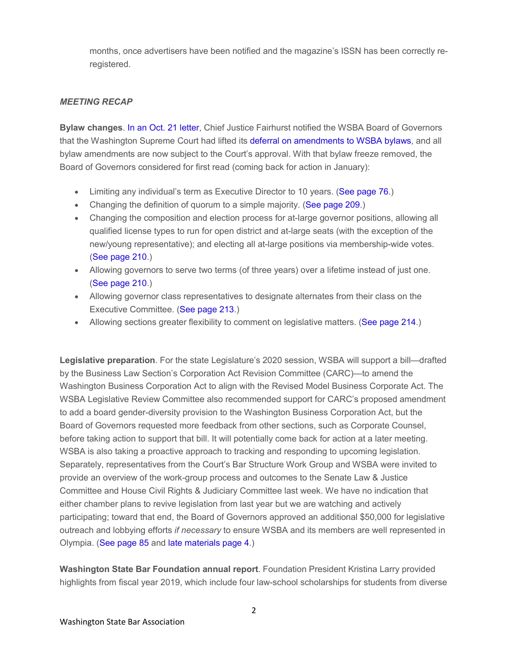months, once advertisers have been notified and the magazine's ISSN has been correctly reregistered.

## *MEETING RECAP*

**Bylaw changes**. [In an Oct. 21 letter,](http://wsba.informz.net/z/cjUucD9taT0yODAxMzM4JnA9MSZ1PTM3NzEzNjQ5MCZsaT0yMTI4ODE5OA/index.html) Chief Justice Fairhurst notified the WSBA Board of Governors that the Washington Supreme Court had lifted its [deferral on amendments to WSBA bylaws,](http://wsba.informz.net/z/cjUucD9taT0yODAxMzM4JnA9MSZ1PTM3NzEzNjQ5MCZsaT0yMTI4ODE5OQ/index.html) and all bylaw amendments are now subject to the Court's approval. With that bylaw freeze removed, the Board of Governors considered for first read (coming back for action in January):

- Limiting any individual's term as Executive Director to 10 years. [\(See page 76.](http://wsba.informz.net/z/cjUucD9taT0yODAxMzM4JnA9MSZ1PTM3NzEzNjQ5MCZsaT0yMTI4ODE5Nw/index.html))
- Changing the definition of quorum to a simple majority. [\(See page 209.](http://wsba.informz.net/z/cjUucD9taT0yODAxMzM4JnA9MSZ1PTM3NzEzNjQ5MCZsaT0yMTI4ODE5Nw/index.html))
- Changing the composition and election process for at-large governor positions, allowing all qualified license types to run for open district and at-large seats (with the exception of the new/young representative); and electing all at-large positions via membership-wide votes. [\(See page 210.](http://wsba.informz.net/z/cjUucD9taT0yODAxMzM4JnA9MSZ1PTM3NzEzNjQ5MCZsaT0yMTI4ODE5Nw/index.html))
- Allowing governors to serve two terms (of three years) over a lifetime instead of just one. [\(See page 210.](http://wsba.informz.net/z/cjUucD9taT0yODAxMzM4JnA9MSZ1PTM3NzEzNjQ5MCZsaT0yMTI4ODE5Nw/index.html))
- Allowing governor class representatives to designate alternates from their class on the Executive Committee. [\(See page 213.](http://wsba.informz.net/z/cjUucD9taT0yODAxMzM4JnA9MSZ1PTM3NzEzNjQ5MCZsaT0yMTI4ODE5Nw/index.html))
- Allowing sections greater flexibility to comment on legislative matters. [\(See page 214.](http://wsba.informz.net/z/cjUucD9taT0yODAxMzM4JnA9MSZ1PTM3NzEzNjQ5MCZsaT0yMTI4ODE5Nw/index.html))

**Legislative preparation**. For the state Legislature's 2020 session, WSBA will support a bill—drafted by the Business Law Section's Corporation Act Revision Committee (CARC)—to amend the Washington Business Corporation Act to align with the Revised Model Business Corporate Act. The WSBA Legislative Review Committee also recommended support for CARC's proposed amendment to add a board gender-diversity provision to the Washington Business Corporation Act, but the Board of Governors requested more feedback from other sections, such as Corporate Counsel, before taking action to support that bill. It will potentially come back for action at a later meeting. WSBA is also taking a proactive approach to tracking and responding to upcoming legislation. Separately, representatives from the Court's Bar Structure Work Group and WSBA were invited to provide an overview of the work-group process and outcomes to the Senate Law & Justice Committee and House Civil Rights & Judiciary Committee last week. We have no indication that either chamber plans to revive legislation from last year but we are watching and actively participating; toward that end, the Board of Governors approved an additional \$50,000 for legislative outreach and lobbying efforts *if necessary* to ensure WSBA and its members are well represented in Olympia. [\(See page 85](http://wsba.informz.net/z/cjUucD9taT0yODAxMzM4JnA9MSZ1PTM3NzEzNjQ5MCZsaT0yMTI4ODE5Nw/index.html) and [late materials page 4.](http://wsba.informz.net/z/cjUucD9taT0yODAxMzM4JnA9MSZ1PTM3NzEzNjQ5MCZsaT0yMTI4ODIwMA/index.html))

**Washington State Bar Foundation annual report**. Foundation President Kristina Larry provided highlights from fiscal year 2019, which include four law-school scholarships for students from diverse